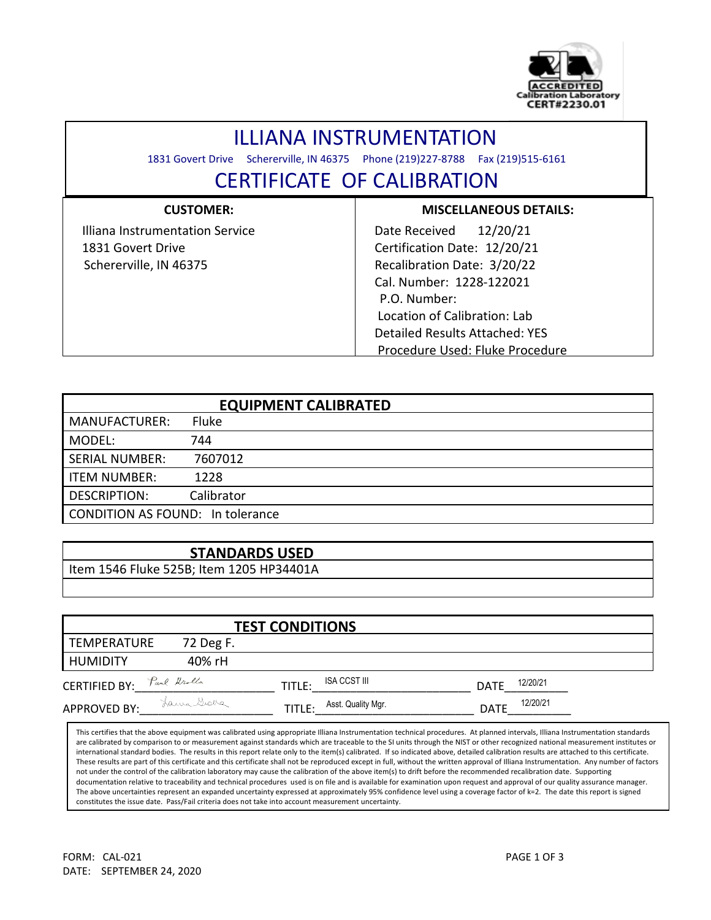

## ILLIANA INSTRUMENTATION

1831 Govert Drive Schererville, IN 46375 Phone (219)227-8788 Fax (219)515-6161

l

## CERTIFICATE OF CALIBRATION

| <b>CUSTOMER:</b>                | <b>MISCELLANEOUS DETAILS:</b>   |  |  |  |  |  |
|---------------------------------|---------------------------------|--|--|--|--|--|
| Illiana Instrumentation Service | 12/20/21<br>Date Received       |  |  |  |  |  |
| 1831 Govert Drive               | Certification Date: 12/20/21    |  |  |  |  |  |
| Schererville, IN 46375          | Recalibration Date: 3/20/22     |  |  |  |  |  |
|                                 | Cal. Number: 1228-122021        |  |  |  |  |  |
|                                 | P.O. Number:                    |  |  |  |  |  |
|                                 | Location of Calibration: Lab    |  |  |  |  |  |
|                                 | Detailed Results Attached: YES  |  |  |  |  |  |
|                                 | Procedure Used: Fluke Procedure |  |  |  |  |  |

|                                         | <b>EQUIPMENT CALIBRATED</b> |
|-----------------------------------------|-----------------------------|
| <b>MANUFACTURER:</b>                    | <b>Fluke</b>                |
| MODEL:                                  | 744                         |
| <b>SERIAL NUMBER:</b>                   | 7607012                     |
| <b>ITEM NUMBER:</b>                     | 1228                        |
| <b>DESCRIPTION:</b>                     | Calibrator                  |
| <b>CONDITION AS FOUND: In tolerance</b> |                             |

## **STANDARDS USED**

Item 1546 Fluke 525B; Item 1205 HP34401A

|                           |            | <b>TEST CONDITIONS</b>       |                         |
|---------------------------|------------|------------------------------|-------------------------|
| TEMPERATURE               | 72 Deg F.  |                              |                         |
| <b>HUMIDITY</b>           | 40% rH     |                              |                         |
| CERTIFIED BY: Paul Krolla |            | ISA CCST III<br>TITLE:       | 12/20/21<br><b>DATE</b> |
| <b>APPROVED BY:</b>       | Lama Graba | Asst. Quality Mgr.<br>TITLE: | 12/20/21<br><b>DATE</b> |

This certifies that the above equipment was calibrated using appropriate Illiana Instrumentation technical procedures. At planned intervals, Illiana Instrumentation standards are calibrated by comparison to or measurement against standards which are traceable to the SI units through the NIST or other recognized national measurement institutes or international standard bodies. The results in this report relate only to the item(s) calibrated. If so indicated above, detailed calibration results are attached to this certificate. These results are part of this certificate and this certificate shall not be reproduced except in full, without the written approval of Illiana Instrumentation. Any number of factors not under the control of the calibration laboratory may cause the calibration of the above item(s) to drift before the recommended recalibration date. Supporting documentation relative to traceability and technical procedures used is on file and is available for examination upon request and approval of our quality assurance manager. The above uncertainties represent an expanded uncertainty expressed at approximately 95% confidence level using a coverage factor of k=2. The date this report is signed constitutes the issue date. Pass/Fail criteria does not take into account measurement uncertainty.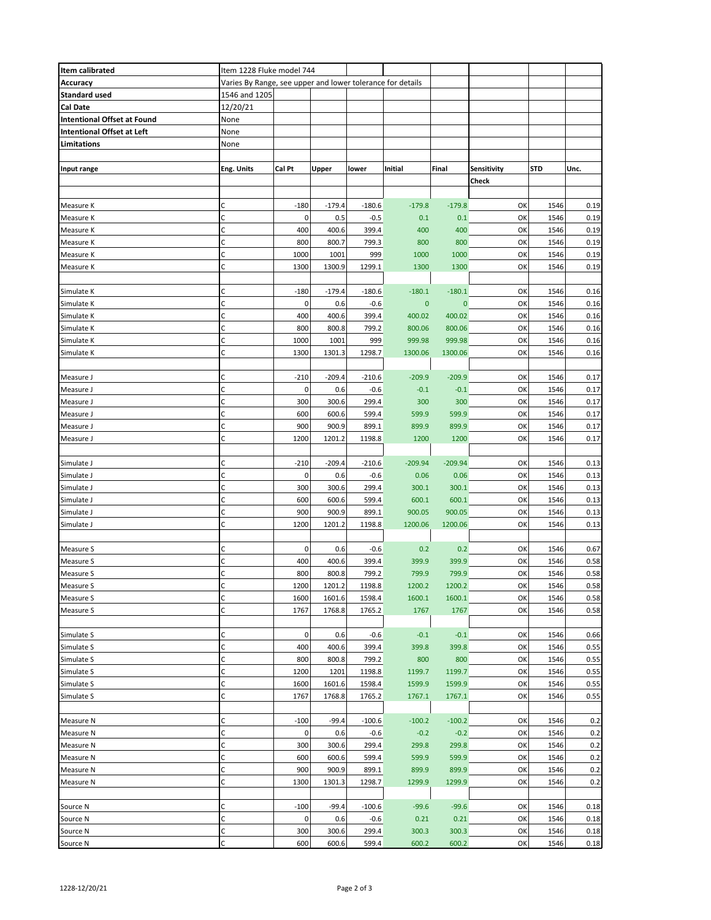| Item calibrated                    | Item 1228 Fluke model 744                                  |        |          |          |           |              |             |            |      |
|------------------------------------|------------------------------------------------------------|--------|----------|----------|-----------|--------------|-------------|------------|------|
| Accuracy                           | Varies By Range, see upper and lower tolerance for details |        |          |          |           |              |             |            |      |
| <b>Standard used</b>               | 1546 and 1205                                              |        |          |          |           |              |             |            |      |
| Cal Date                           | 12/20/21                                                   |        |          |          |           |              |             |            |      |
| <b>Intentional Offset at Found</b> | None                                                       |        |          |          |           |              |             |            |      |
| <b>Intentional Offset at Left</b>  | None                                                       |        |          |          |           |              |             |            |      |
| Limitations                        | None                                                       |        |          |          |           |              |             |            |      |
|                                    |                                                            |        |          |          |           |              |             |            |      |
| Input range                        | Eng. Units                                                 | Cal Pt | Upper    | lower    | Initial   | Final        | Sensitivity | <b>STD</b> | Unc. |
|                                    |                                                            |        |          |          |           |              | Check       |            |      |
|                                    |                                                            |        |          |          |           |              |             |            |      |
| Measure K                          | С                                                          | $-180$ | $-179.4$ | $-180.6$ | $-179.8$  | $-179.8$     | OK          | 1546       | 0.19 |
| Measure K                          | $\mathsf C$                                                | 0      | 0.5      | $-0.5$   | 0.1       | 0.1          | OK          | 1546       | 0.19 |
| Measure K                          | C                                                          | 400    | 400.6    | 399.4    | 400       | 400          | OK          | 1546       | 0.19 |
| Measure K                          | C                                                          | 800    | 800.7    | 799.3    | 800       | 800          | OK          | 1546       | 0.19 |
| Measure K                          | C                                                          | 1000   | 1001     | 999      | 1000      | 1000         | OK          | 1546       | 0.19 |
|                                    | C                                                          |        |          |          |           |              |             |            |      |
| Measure K                          |                                                            | 1300   | 1300.9   | 1299.1   | 1300      | 1300         | OK          | 1546       | 0.19 |
|                                    |                                                            |        |          |          |           |              |             |            |      |
| Simulate K                         | C                                                          | $-180$ | $-179.4$ | $-180.6$ | $-180.1$  | $-180.1$     | OK          | 1546       | 0.16 |
| Simulate K                         | $\mathsf C$                                                | 0      | 0.6      | -0.6     | $\pmb{0}$ | $\mathbf{0}$ | OK          | 1546       | 0.16 |
| Simulate K                         | C                                                          | 400    | 400.6    | 399.4    | 400.02    | 400.02       | OK          | 1546       | 0.16 |
| Simulate K                         | $\mathsf C$                                                | 800    | 800.8    | 799.2    | 800.06    | 800.06       | OK          | 1546       | 0.16 |
| Simulate K                         | C                                                          | 1000   | 1001     | 999      | 999.98    | 999.98       | OK          | 1546       | 0.16 |
| Simulate K                         | C                                                          | 1300   | 1301.3   | 1298.7   | 1300.06   | 1300.06      | OK          | 1546       | 0.16 |
|                                    |                                                            |        |          |          |           |              |             |            |      |
| Measure J                          | C                                                          | $-210$ | $-209.4$ | $-210.6$ | $-209.9$  | $-209.9$     | OK          | 1546       | 0.17 |
| Measure J                          | C                                                          | 0      | 0.6      | $-0.6$   | $-0.1$    | $-0.1$       | OK          | 1546       | 0.17 |
| Measure J                          | $\mathsf C$                                                | 300    | 300.6    | 299.4    | 300       | 300          | OK          | 1546       | 0.17 |
| Measure J                          | C                                                          | 600    | 600.6    | 599.4    | 599.9     | 599.9        | OK          | 1546       | 0.17 |
| Measure J                          | C                                                          | 900    | 900.9    | 899.1    | 899.9     | 899.9        | OK          | 1546       | 0.17 |
| Measure J                          | C                                                          | 1200   | 1201.2   | 1198.8   | 1200      | 1200         | OK          | 1546       | 0.17 |
|                                    |                                                            |        |          |          |           |              |             |            |      |
| Simulate J                         | C                                                          | $-210$ | $-209.4$ | $-210.6$ | $-209.94$ | $-209.94$    | OK          | 1546       | 0.13 |
| Simulate J                         | $\mathsf C$                                                | 0      | 0.6      | $-0.6$   | 0.06      | 0.06         | OK          | 1546       | 0.13 |
| Simulate J                         | $\mathsf C$                                                | 300    | 300.6    | 299.4    | 300.1     | 300.1        | OK          | 1546       | 0.13 |
| Simulate J                         | $\mathsf C$                                                | 600    | 600.6    | 599.4    | 600.1     | 600.1        | OK          | 1546       | 0.13 |
| Simulate J                         | C                                                          | 900    | 900.9    | 899.1    | 900.05    | 900.05       | OK          | 1546       | 0.13 |
| Simulate J                         | C                                                          | 1200   | 1201.2   | 1198.8   | 1200.06   | 1200.06      | OK          | 1546       | 0.13 |
|                                    |                                                            |        |          |          |           |              |             |            |      |
| Measure S                          | C                                                          | 0      | 0.6      | $-0.6$   | 0.2       | 0.2          | OK          | 1546       | 0.67 |
| Measure S                          | C                                                          | 400    | 400.6    | 399.4    | 399.9     | 399.9        | OK          | 1546       | 0.58 |
| Measure S                          | C                                                          | 800    | 800.8    | 799.2    | 799.9     | 799.9        | OK          | 1546       | 0.58 |
| Measure S                          | С                                                          | 1200   | 1201.2   | 1198.8   | 1200.2    | 1200.2       | ок          | 1546       | 0.58 |
| Measure S                          | C                                                          | 1600   | 1601.6   | 1598.4   | 1600.1    | 1600.1       | OK          | 1546       | 0.58 |
| Measure S                          | C                                                          | 1767   | 1768.8   | 1765.2   | 1767      | 1767         | OK          | 1546       | 0.58 |
|                                    |                                                            |        |          |          |           |              |             |            |      |
| Simulate S                         | $\mathsf C$                                                | 0      | 0.6      | $-0.6$   | $-0.1$    | $-0.1$       | OK          | 1546       | 0.66 |
| Simulate S                         | C                                                          | 400    | 400.6    | 399.4    | 399.8     | 399.8        | OK          | 1546       | 0.55 |
| Simulate S                         | $\mathsf C$                                                | 800    | 800.8    | 799.2    | 800       | 800          | OK          | 1546       | 0.55 |
| Simulate S                         | C                                                          | 1200   | 1201     | 1198.8   | 1199.7    | 1199.7       | OK          | 1546       | 0.55 |
| Simulate S                         | C                                                          | 1600   | 1601.6   | 1598.4   | 1599.9    | 1599.9       | OK          | 1546       | 0.55 |
| Simulate S                         | C                                                          | 1767   | 1768.8   | 1765.2   | 1767.1    | 1767.1       | OK          | 1546       | 0.55 |
|                                    |                                                            |        |          |          |           |              |             |            |      |
| Measure N                          | C                                                          | $-100$ | $-99.4$  | $-100.6$ | $-100.2$  | $-100.2$     | OK          | 1546       | 0.2  |
| Measure N                          | $\mathsf C$                                                | 0      | 0.6      | $-0.6$   | $-0.2$    | $-0.2$       | OK          | 1546       | 0.2  |
| Measure N                          | $\mathsf C$                                                | 300    | 300.6    | 299.4    | 299.8     | 299.8        | OK          | 1546       | 0.2  |
| Measure N                          | $\mathsf C$                                                | 600    | 600.6    | 599.4    | 599.9     | 599.9        | OK          | 1546       | 0.2  |
| Measure N                          | $\mathsf C$                                                | 900    | 900.9    |          | 899.9     | 899.9        | OK          | 1546       |      |
|                                    |                                                            |        |          | 899.1    |           |              |             |            | 0.2  |
| Measure N                          | $\mathsf C$                                                | 1300   | 1301.3   | 1298.7   | 1299.9    | 1299.9       | OK          | 1546       | 0.2  |
|                                    |                                                            |        |          |          |           |              |             |            |      |
| Source N                           | C                                                          | $-100$ | $-99.4$  | $-100.6$ | $-99.6$   | $-99.6$      | OK          | 1546       | 0.18 |
| Source N                           | C                                                          | 0      | 0.6      | $-0.6$   | 0.21      | 0.21         | OK          | 1546       | 0.18 |
| Source N                           | $\mathsf C$                                                | 300    | 300.6    | 299.4    | 300.3     | 300.3        | OK          | 1546       | 0.18 |
| Source N                           | C                                                          | 600    | 600.6    | 599.4    | 600.2     | 600.2        | OK          | 1546       | 0.18 |